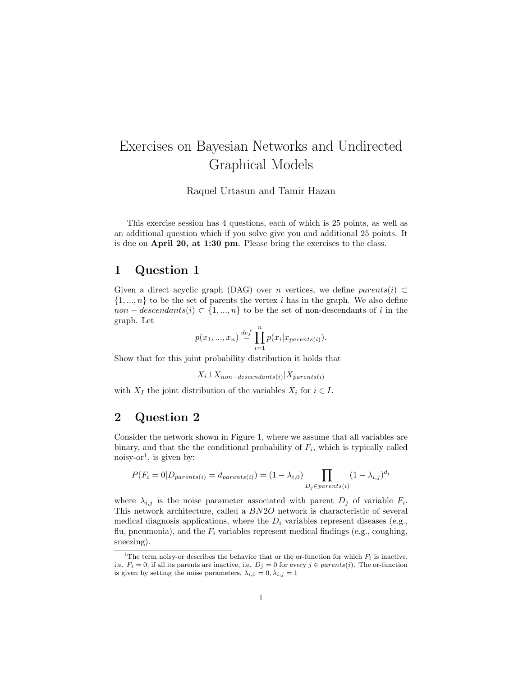# Exercises on Bayesian Networks and Undirected Graphical Models

Raquel Urtasun and Tamir Hazan

This exercise session has 4 questions, each of which is 25 points, as well as an additional question which if you solve give you and additional 25 points. It is due on April 20, at 1:30 pm. Please bring the exercises to the class.

### 1 Question 1

Given a direct acyclic graph (DAG) over *n* vertices, we define  $parents(i) \subset$  $\{1, ..., n\}$  to be the set of parents the vertex i has in the graph. We also define non – descendants(i) ⊂ {1, ..., n} to be the set of non-descendants of i in the graph. Let

$$
p(x_1, ..., x_n) \stackrel{def}{=} \prod_{i=1}^n p(x_i | x_{parents(i)}).
$$

Show that for this joint probability distribution it holds that

$$
X_i \perp X_{non-descendants(i)} | X_{parents(i)}
$$

with  $X_I$  the joint distribution of the variables  $X_i$  for  $i \in I$ .

#### 2 Question 2

Consider the network shown in Figure 1, where we assume that all variables are binary, and that the the conditional probability of  $F_i$ , which is typically called noisy-or<sup>1</sup>, is given by:

$$
P(F_i = 0 | D_{parents(i)} = d_{parents(i)}) = (1 - \lambda_{i,0}) \prod_{D_j \in parents(i)} (1 - \lambda_{i,j})^{d_i}
$$

where  $\lambda_{i,j}$  is the noise parameter associated with parent  $D_j$  of variable  $F_i$ . This network architecture, called a BN2O network is characteristic of several medical diagnosis applications, where the  $D_i$  variables represent diseases (e.g., flu, pneumonia), and the  $F_i$  variables represent medical findings (e.g., coughing, sneezing).

<sup>&</sup>lt;sup>1</sup>The term noisy-or describes the behavior that or the or-function for which  $F_i$  is inactive, i.e.  $F_i = 0$ , if all its parents are inactive, i.e.  $D_j = 0$  for every  $j \in parents(i)$ . The or-function is given by setting the noise parameters,  $\lambda_{i,0} = 0, \lambda_{i,j} = 1$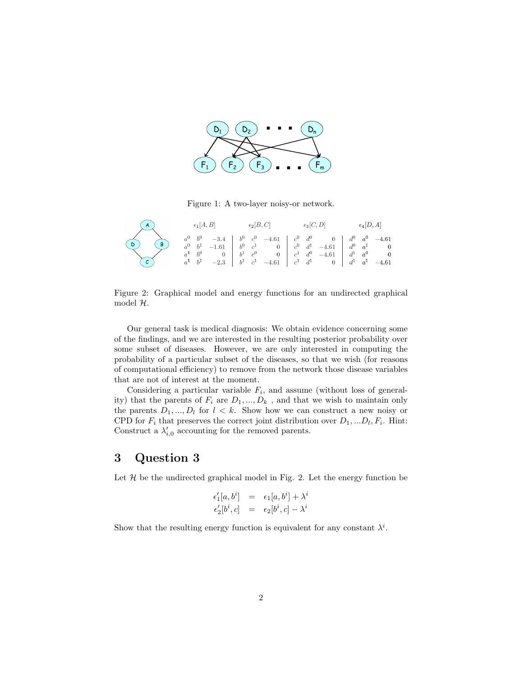

Figure 1: A two-layer noisy or network Figure 1: A two-layer noisy-or network.

| (A)                      | $\epsilon_1[A,B]$ | $\epsilon_2[B,C]$ | $\epsilon_3[C,D]$                                                                                                                                                                                                                                             | $\epsilon_4[D,A]$ |  |
|--------------------------|-------------------|-------------------|---------------------------------------------------------------------------------------------------------------------------------------------------------------------------------------------------------------------------------------------------------------|-------------------|--|
| $\bigcirc$<br>$\bigcirc$ |                   |                   | $\begin{array}{ccccccccc} a^0 & b^0 & -3.4 & b^0 & c^0 & -4.61 & c^0 & d^0 & 0 & d^0 & a^0 & -4.61 \\ a^0 & b^1 & -1.61 & b^0 & c^1 & 0 & c^0 & d^1 & -4.61 & d^0 & a^1 & 0 \\ a^1 & b^0 & 0 & b^1 & c^0 & 0 & c^1 & d^0 & -4.61 & d^1 & a^0 & 0 \end{array}$ |                   |  |

2: Graphical model and energy functions for an undirected graphical Figure 2: Graphical model and energy functions for an undirected graphical model  $2l$ model H.

Our general task is medical diagnosis: We obtain evidence concerning some of the findings, and we are interested in the resulting posterior probability over some subset of diseases. However, we are only interested in computing the probability of a particular subset of the diseases, so that we wish (for reasons of computational efficiency) to remove from the network those disease variables that are not of interest at the moment.

Considering a particular variable  $F_i$ , and assume (without loss of generality) that the parents of  $F_i$  are  $D_1, ..., D_k$ , and that we wish to maintain only the parents  $D_1, ..., D_l$  for  $l < k$ . Show how we can construct a new noisy or CPD for  $F_i$  that preserves the correct joint distribution over  $D_1,...D_l, F_i$ . Hint: Construct a  $\lambda'_{i,0}$  accounting for the removed parents.

## 3 Question 3

Let  $H$  be the undirected graphical model in Fig. 2. Let the energy function be

$$
\epsilon'_1[a, b^i] = \epsilon_1[a, b^i] + \lambda^i
$$
  

$$
\epsilon'_2[b^i, c] = \epsilon_2[b^i, c] - \lambda^i
$$

Show that the resulting energy function is equivalent for any constant  $\lambda^i$ .